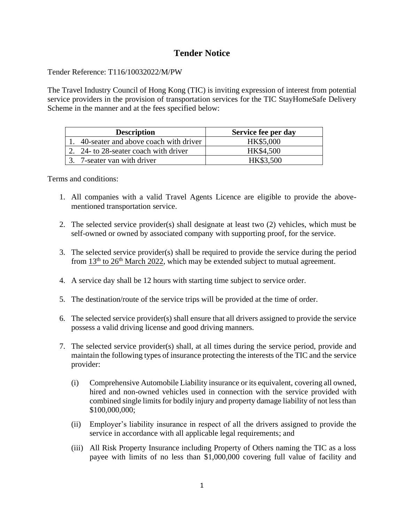## **Tender Notice**

## Tender Reference: T116/10032022/M/PW

The Travel Industry Council of Hong Kong (TIC) is inviting expression of interest from potential service providers in the provision of transportation services for the TIC StayHomeSafe Delivery Scheme in the manner and at the fees specified below:

| <b>Description</b>                       | Service fee per day |
|------------------------------------------|---------------------|
| 1. 40-seater and above coach with driver | HK\$5,000           |
| 2. 24- to 28-seater coach with driver    | HK\$4,500           |
| 3. 7-seater van with driver              | HK\$3,500           |

Terms and conditions:

- 1. All companies with a valid Travel Agents Licence are eligible to provide the abovementioned transportation service.
- 2. The selected service provider(s) shall designate at least two (2) vehicles, which must be self-owned or owned by associated company with supporting proof, for the service.
- 3. The selected service provider(s) shall be required to provide the service during the period from  $13<sup>th</sup>$  to  $26<sup>th</sup>$  March 2022, which may be extended subject to mutual agreement.
- 4. A service day shall be 12 hours with starting time subject to service order.
- 5. The destination/route of the service trips will be provided at the time of order.
- 6. The selected service provider(s) shall ensure that all drivers assigned to provide the service possess a valid driving license and good driving manners.
- 7. The selected service provider(s) shall, at all times during the service period, provide and maintain the following types of insurance protecting the interests of the TIC and the service provider:
	- (i) Comprehensive Automobile Liability insurance or its equivalent, covering all owned, hired and non-owned vehicles used in connection with the service provided with combined single limits for bodily injury and property damage liability of not less than \$100,000,000;
	- (ii) Employer's liability insurance in respect of all the drivers assigned to provide the service in accordance with all applicable legal requirements; and
	- (iii) All Risk Property Insurance including Property of Others naming the TIC as a loss payee with limits of no less than \$1,000,000 covering full value of facility and